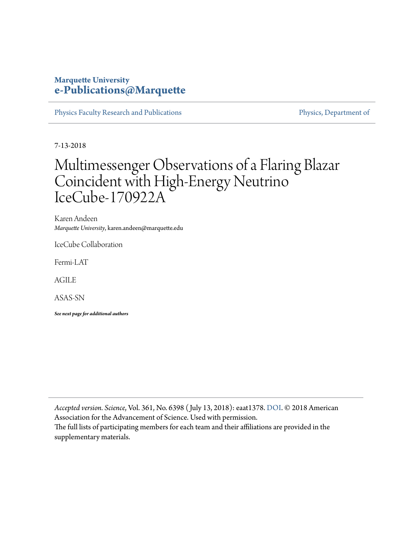## **Marquette University [e-Publications@Marquette](https://epublications.marquette.edu/)**

[Physics Faculty Research and Publications](https://epublications.marquette.edu/physics_fac) **Physics**, Department of

7-13-2018

# Multimessenger Observations of a Flaring Blazar Coincident with High-Energy Neutrino IceCube-170922A

Karen Andeen *Marquette University*, karen.andeen@marquette.edu

IceCube Collaboration

Fermi-LAT

AGILE

ASAS-SN

*See next page for additional authors*

*Accepted version. Science*, Vol. 361, No. 6398 ( July 13, 2018): eaat1378. [DOI](http://doi.org/10.1126/science.aat1378). © 2018 American Association for the Advancement of Science. Used with permission. The full lists of participating members for each team and their affiliations are provided in the supplementary materials.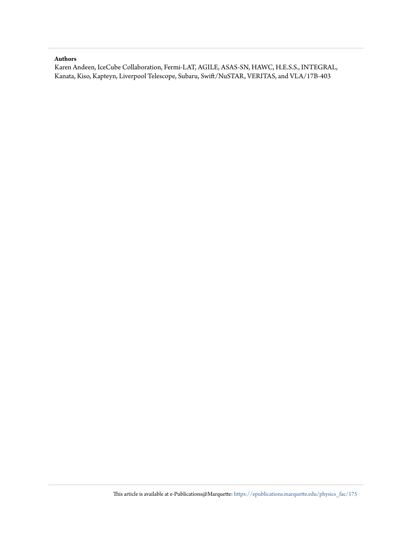#### **Authors**

Karen Andeen, IceCube Collaboration, Fermi-LAT, AGILE, ASAS-SN, HAWC, H.E.S.S., INTEGRAL, Kanata, Kiso, Kapteyn, Liverpool Telescope, Subaru, Swift/NuSTAR, VERITAS, and VLA/17B-403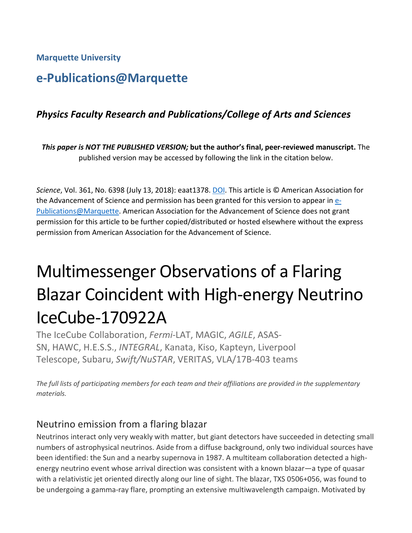**Marquette University**

# **e-Publications@Marquette**

# *Physics Faculty Research and Publications/College of Arts and Sciences*

*This paper is NOT THE PUBLISHED VERSION;* **but the author's final, peer-reviewed manuscript.** The published version may be accessed by following the link in the citation below.

*Science*, Vol. 361, No. 6398 (July 13, 2018): eaat1378. [DOI.](http://dx.doi.org/10.1126/science.aat1378) This article is © American Association for the Advancement of Science and permission has been granted for this version to appear in [e-](http://epublications.marquette.edu/)[Publications@Marquette.](http://epublications.marquette.edu/) American Association for the Advancement of Science does not grant permission for this article to be further copied/distributed or hosted elsewhere without the express permission from American Association for the Advancement of Science.

# Multimessenger Observations of a Flaring Blazar Coincident with High-energy Neutrino IceCube-170922A

The IceCube Collaboration, *Fermi*-LAT, MAGIC, *AGILE*, ASAS-SN, HAWC, H.E.S.S., *INTEGRAL*, Kanata, Kiso, Kapteyn, Liverpool Telescope, Subaru, *Swift/NuSTAR*, VERITAS, VLA/17B-403 teams

*The full lists of participating members for each team and their affiliations are provided in the supplementary materials.*

# Neutrino emission from a flaring blazar

Neutrinos interact only very weakly with matter, but giant detectors have succeeded in detecting small numbers of astrophysical neutrinos. Aside from a diffuse background, only two individual sources have been identified: the Sun and a nearby supernova in 1987. A multiteam collaboration detected a highenergy neutrino event whose arrival direction was consistent with a known blazar—a type of quasar with a relativistic jet oriented directly along our line of sight. The blazar, TXS 0506+056, was found to be undergoing a gamma-ray flare, prompting an extensive multiwavelength campaign. Motivated by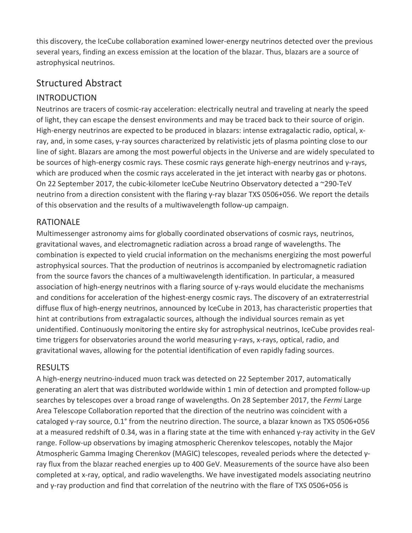this discovery, the IceCube collaboration examined lower-energy neutrinos detected over the previous several years, finding an excess emission at the location of the blazar. Thus, blazars are a source of astrophysical neutrinos.

# Structured Abstract

# INTRODUCTION

Neutrinos are tracers of cosmic-ray acceleration: electrically neutral and traveling at nearly the speed of light, they can escape the densest environments and may be traced back to their source of origin. High-energy neutrinos are expected to be produced in blazars: intense extragalactic radio, optical, xray, and, in some cases, γ-ray sources characterized by relativistic jets of plasma pointing close to our line of sight. Blazars are among the most powerful objects in the Universe and are widely speculated to be sources of high-energy cosmic rays. These cosmic rays generate high-energy neutrinos and γ-rays, which are produced when the cosmic rays accelerated in the jet interact with nearby gas or photons. On 22 September 2017, the cubic-kilometer IceCube Neutrino Observatory detected a ~290-TeV neutrino from a direction consistent with the flaring γ-ray blazar TXS 0506+056. We report the details of this observation and the results of a multiwavelength follow-up campaign.

#### RATIONALE

Multimessenger astronomy aims for globally coordinated observations of cosmic rays, neutrinos, gravitational waves, and electromagnetic radiation across a broad range of wavelengths. The combination is expected to yield crucial information on the mechanisms energizing the most powerful astrophysical sources. That the production of neutrinos is accompanied by electromagnetic radiation from the source favors the chances of a multiwavelength identification. In particular, a measured association of high-energy neutrinos with a flaring source of γ-rays would elucidate the mechanisms and conditions for acceleration of the highest-energy cosmic rays. The discovery of an extraterrestrial diffuse flux of high-energy neutrinos, announced by IceCube in 2013, has characteristic properties that hint at contributions from extragalactic sources, although the individual sources remain as yet unidentified. Continuously monitoring the entire sky for astrophysical neutrinos, IceCube provides realtime triggers for observatories around the world measuring γ-rays, x-rays, optical, radio, and gravitational waves, allowing for the potential identification of even rapidly fading sources.

#### RESULTS

A high-energy neutrino-induced muon track was detected on 22 September 2017, automatically generating an alert that was distributed worldwide within 1 min of detection and prompted follow-up searches by telescopes over a broad range of wavelengths. On 28 September 2017, the *Fermi* Large Area Telescope Collaboration reported that the direction of the neutrino was coincident with a cataloged γ-ray source, 0.1° from the neutrino direction. The source, a blazar known as TXS 0506+056 at a measured redshift of 0.34, was in a flaring state at the time with enhanced γ-ray activity in the GeV range. Follow-up observations by imaging atmospheric Cherenkov telescopes, notably the Major Atmospheric Gamma Imaging Cherenkov (MAGIC) telescopes, revealed periods where the detected γray flux from the blazar reached energies up to 400 GeV. Measurements of the source have also been completed at x-ray, optical, and radio wavelengths. We have investigated models associating neutrino and γ-ray production and find that correlation of the neutrino with the flare of TXS 0506+056 is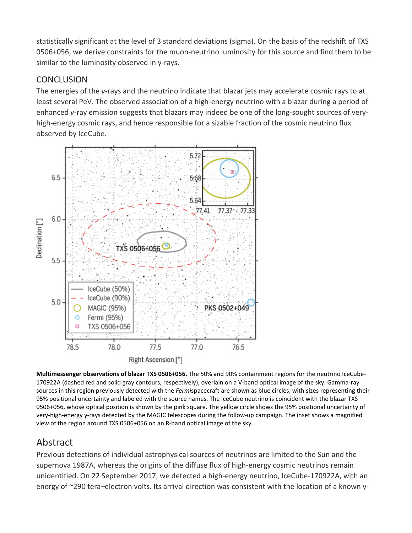statistically significant at the level of 3 standard deviations (sigma). On the basis of the redshift of TXS 0506+056, we derive constraints for the muon-neutrino luminosity for this source and find them to be similar to the luminosity observed in γ-rays.

#### **CONCLUSION**

The energies of the γ-rays and the neutrino indicate that blazar jets may accelerate cosmic rays to at least several PeV. The observed association of a high-energy neutrino with a blazar during a period of enhanced γ-ray emission suggests that blazars may indeed be one of the long-sought sources of veryhigh-energy cosmic rays, and hence responsible for a sizable fraction of the cosmic neutrino flux observed by IceCube.



**Multimessenger observations of blazar TXS 0506+056.** The 50% and 90% containment regions for the neutrino IceCube-170922A (dashed red and solid gray contours, respectively), overlain on a V-band optical image of the sky. Gamma-ray sources in this region previously detected with the *Fermi*spacecraft are shown as blue circles, with sizes representing their 95% positional uncertainty and labeled with the source names. The IceCube neutrino is coincident with the blazar TXS 0506+056, whose optical position is shown by the pink square. The yellow circle shows the 95% positional uncertainty of very-high-energy γ-rays detected by the MAGIC telescopes during the follow-up campaign. The inset shows a magnified view of the region around TXS 0506+056 on an R-band optical image of the sky.

# Abstract

Previous detections of individual astrophysical sources of neutrinos are limited to the Sun and the supernova 1987A, whereas the origins of the diffuse flux of high-energy cosmic neutrinos remain unidentified. On 22 September 2017, we detected a high-energy neutrino, IceCube-170922A, with an energy of ~290 tera–electron volts. Its arrival direction was consistent with the location of a known γ-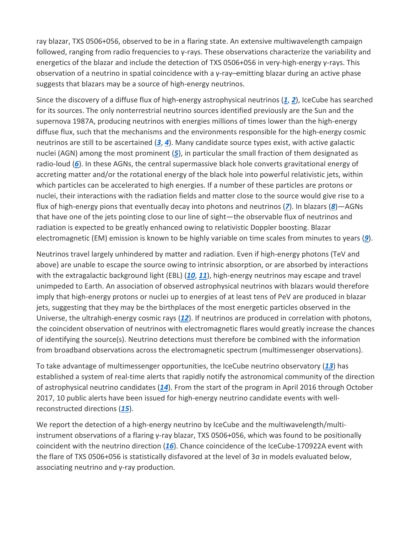ray blazar, TXS 0506+056, observed to be in a flaring state. An extensive multiwavelength campaign followed, ranging from radio frequencies to γ-rays. These observations characterize the variability and energetics of the blazar and include the detection of TXS 0506+056 in very-high-energy γ-rays. This observation of a neutrino in spatial coincidence with a γ-ray–emitting blazar during an active phase suggests that blazars may be a source of high-energy neutrinos.

Since the discovery of a diffuse flux of high-energy astrophysical neutrinos (*[1](https://science.sciencemag.org/content/361/6398/eaat1378#ref-1)*, *[2](https://science.sciencemag.org/content/361/6398/eaat1378#ref-2)*), IceCube has searched for its sources. The only nonterrestrial neutrino sources identified previously are the Sun and the supernova 1987A, producing neutrinos with energies millions of times lower than the high-energy diffuse flux, such that the mechanisms and the environments responsible for the high-energy cosmic neutrinos are still to be ascertained (*[3](https://science.sciencemag.org/content/361/6398/eaat1378#ref-3)*, *[4](https://science.sciencemag.org/content/361/6398/eaat1378#ref-4)*). Many candidate source types exist, with active galactic nuclei (AGN) among the most prominent (*[5](https://science.sciencemag.org/content/361/6398/eaat1378#ref-5)*), in particular the small fraction of them designated as radio-loud (*[6](https://science.sciencemag.org/content/361/6398/eaat1378#ref-6)*). In these AGNs, the central supermassive black hole converts gravitational energy of accreting matter and/or the rotational energy of the black hole into powerful relativistic jets, within which particles can be accelerated to high energies. If a number of these particles are protons or nuclei, their interactions with the radiation fields and matter close to the source would give rise to a flux of high-energy pions that eventually decay into photons and neutrinos (*[7](https://science.sciencemag.org/content/361/6398/eaat1378#ref-7)*). In blazars (*[8](https://science.sciencemag.org/content/361/6398/eaat1378#ref-8)*)—AGNs that have one of the jets pointing close to our line of sight—the observable flux of neutrinos and radiation is expected to be greatly enhanced owing to relativistic Doppler boosting. Blazar electromagnetic (EM) emission is known to be highly variable on time scales from minutes to years (*[9](https://science.sciencemag.org/content/361/6398/eaat1378#ref-9)*).

Neutrinos travel largely unhindered by matter and radiation. Even if high-energy photons (TeV and above) are unable to escape the source owing to intrinsic absorption, or are absorbed by interactions with the extragalactic background light (EBL) (*[10](https://science.sciencemag.org/content/361/6398/eaat1378#ref-10)*, *[11](https://science.sciencemag.org/content/361/6398/eaat1378#ref-11)*), high-energy neutrinos may escape and travel unimpeded to Earth. An association of observed astrophysical neutrinos with blazars would therefore imply that high-energy protons or nuclei up to energies of at least tens of PeV are produced in blazar jets, suggesting that they may be the birthplaces of the most energetic particles observed in the Universe, the ultrahigh-energy cosmic rays (*[12](https://science.sciencemag.org/content/361/6398/eaat1378#ref-12)*). If neutrinos are produced in correlation with photons, the coincident observation of neutrinos with electromagnetic flares would greatly increase the chances of identifying the source(s). Neutrino detections must therefore be combined with the information from broadband observations across the electromagnetic spectrum (multimessenger observations).

To take advantage of multimessenger opportunities, the IceCube neutrino observatory (*[13](https://science.sciencemag.org/content/361/6398/eaat1378#ref-13)*) has established a system of real-time alerts that rapidly notify the astronomical community of the direction of astrophysical neutrino candidates (*[14](https://science.sciencemag.org/content/361/6398/eaat1378#ref-14)*). From the start of the program in April 2016 through October 2017, 10 public alerts have been issued for high-energy neutrino candidate events with wellreconstructed directions (*[15](https://science.sciencemag.org/content/361/6398/eaat1378#ref-15)*).

We report the detection of a high-energy neutrino by IceCube and the multiwavelength/multiinstrument observations of a flaring γ-ray blazar, TXS 0506+056, which was found to be positionally coincident with the neutrino direction (*[16](https://science.sciencemag.org/content/361/6398/eaat1378#ref-16)*). Chance coincidence of the IceCube-170922A event with the flare of TXS 0506+056 is statistically disfavored at the level of 3σ in models evaluated below, associating neutrino and γ-ray production.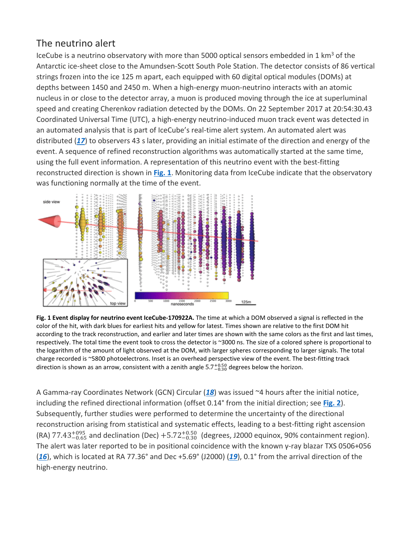# The neutrino alert

IceCube is a neutrino observatory with more than 5000 optical sensors embedded in 1  $km<sup>3</sup>$  of the Antarctic ice-sheet close to the Amundsen-Scott South Pole Station. The detector consists of 86 vertical strings frozen into the ice 125 m apart, each equipped with 60 digital optical modules (DOMs) at depths between 1450 and 2450 m. When a high-energy muon-neutrino interacts with an atomic nucleus in or close to the detector array, a muon is produced moving through the ice at superluminal speed and creating Cherenkov radiation detected by the DOMs. On 22 September 2017 at 20:54:30.43 Coordinated Universal Time (UTC), a high-energy neutrino-induced muon track event was detected in an automated analysis that is part of IceCube's real-time alert system. An automated alert was distributed (*[17](https://science.sciencemag.org/content/361/6398/eaat1378#ref-17)*) to observers 43 s later, providing an initial estimate of the direction and energy of the event. A sequence of refined reconstruction algorithms was automatically started at the same time, using the full event information. A representation of this neutrino event with the best-fitting reconstructed direction is shown in **[Fig. 1](https://science.sciencemag.org/content/361/6398/eaat1378#F2)**. Monitoring data from IceCube indicate that the observatory was functioning normally at the time of the event.



**Fig. 1 Event display for neutrino event IceCube-170922A.** The time at which a DOM observed a signal is reflected in the color of the hit, with dark blues for earliest hits and yellow for latest. Times shown are relative to the first DOM hit according to the track reconstruction, and earlier and later times are shown with the same colors as the first and last times, respectively. The total time the event took to cross the detector is ~3000 ns. The size of a colored sphere is proportional to the logarithm of the amount of light observed at the DOM, with larger spheres corresponding to larger signals. The total charge recorded is ~5800 photoelectrons. Inset is an overhead perspective view of the event. The best-fitting track direction is shown as an arrow, consistent with a zenith angle  $5.7^{+0.50}_{-0.30}$  degrees below the horizon.

A Gamma-ray Coordinates Network (GCN) Circular (*[18](https://science.sciencemag.org/content/361/6398/eaat1378#ref-18)*) was issued ~4 hours after the initial notice, including the refined directional information (offset 0.14° from the initial direction; see **[Fig. 2](https://science.sciencemag.org/content/361/6398/eaat1378#F3)**). Subsequently, further studies were performed to determine the uncertainty of the directional reconstruction arising from statistical and systematic effects, leading to a best-fitting right ascension  $(RA)$  77.43 $^{+095}_{-0.65}$  and declination (Dec)  $+5.72^{+0.50}_{-0.30}$  (degrees, J2000 equinox, 90% containment region). The alert was later reported to be in positional coincidence with the known γ-ray blazar TXS 0506+056 (*[16](https://science.sciencemag.org/content/361/6398/eaat1378#ref-16)*), which is located at RA 77.36° and Dec +5.69° (J2000) (*[19](https://science.sciencemag.org/content/361/6398/eaat1378#ref-19)*), 0.1° from the arrival direction of the high-energy neutrino.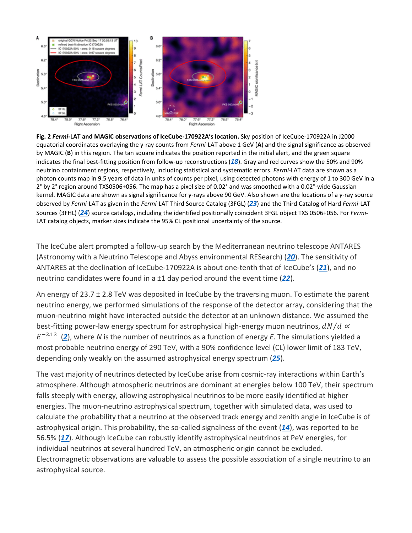

**Fig. 2** *Fermi***-LAT and MAGIC observations of IceCube-170922A's location.** Sky position of IceCube-170922A in J2000 equatorial coordinates overlaying the γ-ray counts from *Fermi*-LAT above 1 GeV (**A**) and the signal significance as observed by MAGIC (**B**) in this region. The tan square indicates the position reported in the initial alert, and the green square indicates the final best-fitting position from follow-up reconstructions (*[18](https://science.sciencemag.org/content/361/6398/eaat1378#ref-18)*). Gray and red curves show the 50% and 90% neutrino containment regions, respectively, including statistical and systematic errors. *Fermi*-LAT data are shown as a photon counts map in 9.5 years of data in units of counts per pixel, using detected photons with energy of 1 to 300 GeV in a 2° by 2° region around TXS0506+056. The map has a pixel size of 0.02° and was smoothed with a 0.02°-wide Gaussian kernel. MAGIC data are shown as signal significance for γ-rays above 90 GeV. Also shown are the locations of a γ-ray source observed by *Fermi*-LAT as given in the *Fermi*-LAT Third Source Catalog (3FGL) (*[23](https://science.sciencemag.org/content/361/6398/eaat1378#ref-23)*) and the Third Catalog of Hard *Fermi*-LAT Sources (3FHL) (*[24](https://science.sciencemag.org/content/361/6398/eaat1378#ref-24)*) source catalogs, including the identified positionally coincident 3FGL object TXS 0506+056. For *Fermi*-LAT catalog objects, marker sizes indicate the 95% CL positional uncertainty of the source.

The IceCube alert prompted a follow-up search by the Mediterranean neutrino telescope ANTARES (Astronomy with a Neutrino Telescope and Abyss environmental RESearch) (*[20](https://science.sciencemag.org/content/361/6398/eaat1378#ref-20)*). The sensitivity of ANTARES at the declination of IceCube-170922A is about one-tenth that of IceCube's (*[21](https://science.sciencemag.org/content/361/6398/eaat1378#ref-21)*), and no neutrino candidates were found in a ±1 day period around the event time (*[22](https://science.sciencemag.org/content/361/6398/eaat1378#ref-22)*).

An energy of 23.7 ± 2.8 TeV was deposited in IceCube by the traversing muon. To estimate the parent neutrino energy, we performed simulations of the response of the detector array, considering that the muon-neutrino might have interacted outside the detector at an unknown distance. We assumed the best-fitting power-law energy spectrum for astrophysical high-energy muon neutrinos,  $dN/d \propto$ −2.<sup>13</sup> (*[2](https://science.sciencemag.org/content/361/6398/eaat1378#ref-2)*), where *N* is the number of neutrinos as a function of energy *E*. The simulations yielded a most probable neutrino energy of 290 TeV, with a 90% confidence level (CL) lower limit of 183 TeV, depending only weakly on the assumed astrophysical energy spectrum (*[25](https://science.sciencemag.org/content/361/6398/eaat1378#ref-25)*).

The vast majority of neutrinos detected by IceCube arise from cosmic-ray interactions within Earth's atmosphere. Although atmospheric neutrinos are dominant at energies below 100 TeV, their spectrum falls steeply with energy, allowing astrophysical neutrinos to be more easily identified at higher energies. The muon-neutrino astrophysical spectrum, together with simulated data, was used to calculate the probability that a neutrino at the observed track energy and zenith angle in IceCube is of astrophysical origin. This probability, the so-called signalness of the event (*[14](https://science.sciencemag.org/content/361/6398/eaat1378#ref-14)*), was reported to be 56.5% (*[17](https://science.sciencemag.org/content/361/6398/eaat1378#ref-17)*). Although IceCube can robustly identify astrophysical neutrinos at PeV energies, for individual neutrinos at several hundred TeV, an atmospheric origin cannot be excluded. Electromagnetic observations are valuable to assess the possible association of a single neutrino to an astrophysical source.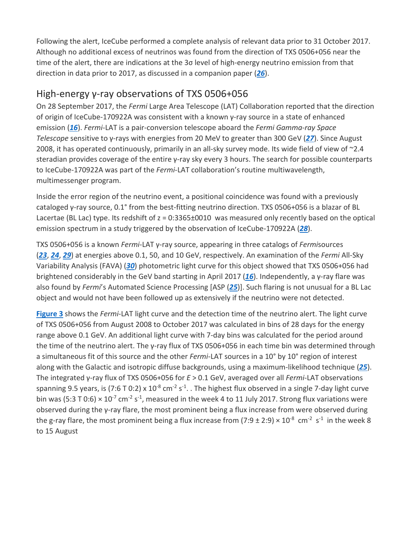Following the alert, IceCube performed a complete analysis of relevant data prior to 31 October 2017. Although no additional excess of neutrinos was found from the direction of TXS 0506+056 near the time of the alert, there are indications at the 3σ level of high-energy neutrino emission from that direction in data prior to 2017, as discussed in a companion paper (*[26](https://science.sciencemag.org/content/361/6398/eaat1378#ref-26)*).

# High-energy γ-ray observations of TXS 0506+056

On 28 September 2017, the *Fermi* Large Area Telescope (LAT) Collaboration reported that the direction of origin of IceCube-170922A was consistent with a known γ-ray source in a state of enhanced emission (*[16](https://science.sciencemag.org/content/361/6398/eaat1378#ref-16)*). *Fermi*-LAT is a pair-conversion telescope aboard the *Fermi Gamma-ray Space Telescope* sensitive to γ-rays with energies from 20 MeV to greater than 300 GeV (*[27](https://science.sciencemag.org/content/361/6398/eaat1378#ref-27)*). Since August 2008, it has operated continuously, primarily in an all-sky survey mode. Its wide field of view of ~2.4 steradian provides coverage of the entire γ-ray sky every 3 hours. The search for possible counterparts to IceCube-170922A was part of the *Fermi*-LAT collaboration's routine multiwavelength, multimessenger program.

Inside the error region of the neutrino event, a positional coincidence was found with a previously cataloged γ-ray source, 0.1° from the best-fitting neutrino direction. TXS 0506+056 is a blazar of BL Lacertae (BL Lac) type. Its redshift of z = 0:3365±0010 was measured only recently based on the optical emission spectrum in a study triggered by the observation of IceCube-170922A (*[28](https://science.sciencemag.org/content/361/6398/eaat1378#ref-28)*).

TXS 0506+056 is a known *Fermi*-LAT γ-ray source, appearing in three catalogs of *Fermi*sources (*[23](https://science.sciencemag.org/content/361/6398/eaat1378#ref-23)*, *[24](https://science.sciencemag.org/content/361/6398/eaat1378#ref-24)*, *[29](https://science.sciencemag.org/content/361/6398/eaat1378#ref-29)*) at energies above 0.1, 50, and 10 GeV, respectively. An examination of the *Fermi* All-Sky Variability Analysis (FAVA) (*[30](https://science.sciencemag.org/content/361/6398/eaat1378#ref-30)*) photometric light curve for this object showed that TXS 0506+056 had brightened considerably in the GeV band starting in April 2017 (*[16](https://science.sciencemag.org/content/361/6398/eaat1378#ref-16)*). Independently, a γ-ray flare was also found by *Fermi*'s Automated Science Processing [ASP (*[25](https://science.sciencemag.org/content/361/6398/eaat1378#ref-25)*)]. Such flaring is not unusual for a BL Lac object and would not have been followed up as extensively if the neutrino were not detected.

**[Figure 3](https://science.sciencemag.org/content/361/6398/eaat1378#F4)** shows the *Fermi*-LAT light curve and the detection time of the neutrino alert. The light curve of TXS 0506+056 from August 2008 to October 2017 was calculated in bins of 28 days for the energy range above 0.1 GeV. An additional light curve with 7-day bins was calculated for the period around the time of the neutrino alert. The γ-ray flux of TXS 0506+056 in each time bin was determined through a simultaneous fit of this source and the other *Fermi*-LAT sources in a 10° by 10° region of interest along with the Galactic and isotropic diffuse backgrounds, using a maximum-likelihood technique (*[25](https://science.sciencemag.org/content/361/6398/eaat1378#ref-25)*). The integrated γ-ray flux of TXS 0506+056 for *E* > 0.1 GeV, averaged over all *Fermi*-LAT observations spanning 9.5 years, is (7:6 T 0:2) x  $10^{-8}$  cm<sup>-2</sup> s<sup>-1</sup>. . The highest flux observed in a single 7-day light curve bin was (5:3 T 0:6)  $\times$  10<sup>-7</sup> cm<sup>-2</sup> s<sup>-1</sup>, measured in the week 4 to 11 July 2017. Strong flux variations were observed during the γ-ray flare, the most prominent being a flux increase from were observed during the g-ray flare, the most prominent being a flux increase from  $(7:9 \pm 2:9) \times 10^{-8}$  cm<sup>-2</sup> s<sup>-1</sup> in the week 8 to 15 August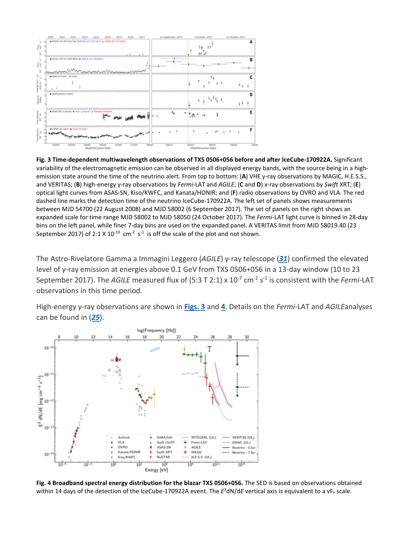

**Fig. 3 Time-dependent multiwavelength observations of TXS 0506+056 before and after IceCube-170922A.** Significant variability of the electromagnetic emission can be observed in all displayed energy bands, with the source being in a highemission state around the time of the neutrino alert. From top to bottom: (**A**) VHE γ-ray observations by MAGIC, H.E.S.S., and VERITAS; (**B**) high-energy γ-ray observations by *Fermi*-LAT and *AGILE*; (**C** and **D**) x-ray observations by *Swift* XRT; (**E**) optical light curves from ASAS-SN, Kiso/KWFC, and Kanata/HONIR; and (**F**) radio observations by OVRO and VLA. The red dashed line marks the detection time of the neutrino IceCube-170922A. The left set of panels shows measurements between MJD 54700 (22 August 2008) and MJD 58002 (6 September 2017). The set of panels on the right shows an expanded scale for time range MJD 58002 to MJD 58050 (24 October 2017). The *Fermi*-LAT light curve is binned in 28-day bins on the left panel, while finer 7-day bins are used on the expanded panel. A VERITAS limit from MJD 58019.40 (23 September 2017) of 2:1 X  $10^{-10}$  cm<sup>-2</sup> s<sup>-1</sup> is off the scale of the plot and not shown.

The Astro-Rivelatore Gamma a Immagini Leggero (*AGILE*) γ-ray telescope (*[31](https://science.sciencemag.org/content/361/6398/eaat1378#ref-31)*) confirmed the elevated level of γ-ray emission at energies above 0.1 GeV from TXS 0506+056 in a 13-day window (10 to 23 September 2017). The *AGILE* measured flux of (5:3 T 2:1) x 10<sup>-7</sup> cm<sup>-2</sup> s<sup>-1</sup> is consistent with the *Fermi*-LAT observations in this time period.

High-energy γ-ray observations are shown in **[Figs. 3](https://science.sciencemag.org/content/361/6398/eaat1378#F4)** and **[4](https://science.sciencemag.org/content/361/6398/eaat1378#F5)**. Details on the *Fermi*-LAT and *AGILE*analyses can be found in (*[25](https://science.sciencemag.org/content/361/6398/eaat1378#ref-25)*).



**Fig. 4 Broadband spectral energy distribution for the blazar TXS 0506+056.** The SED is based on observations obtained within 14 days of the detection of the IceCube-170922A event. The  $E^2$ dN/dE vertical axis is equivalent to a vF<sub>v</sub> scale.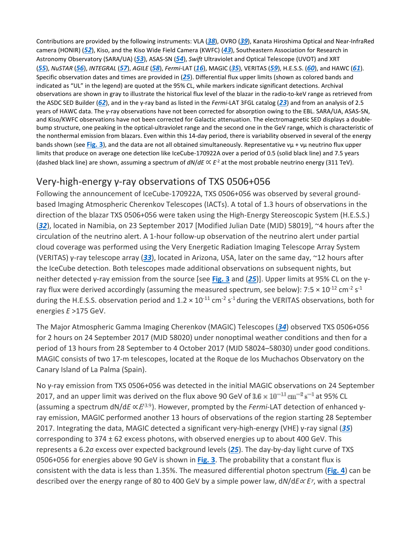Contributions are provided by the following instruments: VLA (*[38](https://science.sciencemag.org/content/361/6398/eaat1378#ref-38)*), OVRO (*[39](https://science.sciencemag.org/content/361/6398/eaat1378#ref-39)*), Kanata Hiroshima Optical and Near-InfraRed camera (HONIR) (*[52](https://science.sciencemag.org/content/361/6398/eaat1378#ref-52)*), Kiso, and the Kiso Wide Field Camera (KWFC) (*[43](https://science.sciencemag.org/content/361/6398/eaat1378#ref-43)*), Southeastern Association for Research in Astronomy Observatory (SARA/UA) (*[53](https://science.sciencemag.org/content/361/6398/eaat1378#ref-53)*), ASAS-SN (*[54](https://science.sciencemag.org/content/361/6398/eaat1378#ref-54)*), *Swift* Ultraviolet and Optical Telescope (UVOT) and XRT (*[55](https://science.sciencemag.org/content/361/6398/eaat1378#ref-55)*), *NuSTAR* (*[56](https://science.sciencemag.org/content/361/6398/eaat1378#ref-56)*), *INTEGRAL* (*[57](https://science.sciencemag.org/content/361/6398/eaat1378#ref-57)*), *AGILE* (*[58](https://science.sciencemag.org/content/361/6398/eaat1378#ref-58)*), *Fermi*-LAT (*[16](https://science.sciencemag.org/content/361/6398/eaat1378#ref-16)*), MAGIC (*[35](https://science.sciencemag.org/content/361/6398/eaat1378#ref-35)*), VERITAS (*[59](https://science.sciencemag.org/content/361/6398/eaat1378#ref-59)*), H.E.S.S. (*[60](https://science.sciencemag.org/content/361/6398/eaat1378#ref-60)*), and HAWC (*[61](https://science.sciencemag.org/content/361/6398/eaat1378#ref-61)*). Specific observation dates and times are provided in (*[25](https://science.sciencemag.org/content/361/6398/eaat1378#ref-25)*). Differential flux upper limits (shown as colored bands and indicated as "UL" in the legend) are quoted at the 95% CL, while markers indicate significant detections. Archival observations are shown in gray to illustrate the historical flux level of the blazar in the radio-to-keV range as retrieved from the ASDC SED Builder (*[62](https://science.sciencemag.org/content/361/6398/eaat1378#ref-62)*), and in the γ-ray band as listed in the *Fermi*-LAT 3FGL catalog (*[23](https://science.sciencemag.org/content/361/6398/eaat1378#ref-23)*) and from an analysis of 2.5 years of HAWC data. The γ-ray observations have not been corrected for absorption owing to the EBL. SARA/UA, ASAS-SN, and Kiso/KWFC observations have not been corrected for Galactic attenuation. The electromagnetic SED displays a doublebump structure, one peaking in the optical-ultraviolet range and the second one in the GeV range, which is characteristic of the nonthermal emission from blazars. Even within this 14-day period, there is variability observed in several of the energy bands shown (see **[Fig. 3](https://science.sciencemag.org/content/361/6398/eaat1378#F4)**), and the data are not all obtained simultaneously. Representative vμ + vμ neutrino flux upper limits that produce on average one detection like IceCube-170922A over a period of 0.5 (solid black line) and 7.5 years (dashed black line) are shown, assuming a spectrum of *dN*/*dE* ∝ *E*-2 at the most probable neutrino energy (311 TeV).

# Very-high-energy γ-ray observations of TXS 0506+056

Following the announcement of IceCube-170922A, TXS 0506+056 was observed by several groundbased Imaging Atmospheric Cherenkov Telescopes (IACTs). A total of 1.3 hours of observations in the direction of the blazar TXS 0506+056 were taken using the High-Energy Stereoscopic System (H.E.S.S.) (*[32](https://science.sciencemag.org/content/361/6398/eaat1378#ref-32)*), located in Namibia, on 23 September 2017 [Modified Julian Date (MJD) 58019], ~4 hours after the circulation of the neutrino alert. A 1-hour follow-up observation of the neutrino alert under partial cloud coverage was performed using the Very Energetic Radiation Imaging Telescope Array System (VERITAS) γ-ray telescope array (*[33](https://science.sciencemag.org/content/361/6398/eaat1378#ref-33)*), located in Arizona, USA, later on the same day, ~12 hours after the IceCube detection. Both telescopes made additional observations on subsequent nights, but neither detected γ-ray emission from the source [see **[Fig. 3](https://science.sciencemag.org/content/361/6398/eaat1378#F4)** and (*[25](https://science.sciencemag.org/content/361/6398/eaat1378#ref-25)*)]. Upper limits at 95% CL on the γray flux were derived accordingly (assuming the measured spectrum, see below): 7:5  $\times$  10<sup>-12</sup> cm<sup>-2</sup> s<sup>-1</sup> during the H.E.S.S. observation period and  $1.2 \times 10^{-11}$  cm<sup>-2</sup> s<sup>-1</sup> during the VERITAS observations, both for energies *E* >175 GeV.

The Major Atmospheric Gamma Imaging Cherenkov (MAGIC) Telescopes (*[34](https://science.sciencemag.org/content/361/6398/eaat1378#ref-34)*) observed TXS 0506+056 for 2 hours on 24 September 2017 (MJD 58020) under nonoptimal weather conditions and then for a period of 13 hours from 28 September to 4 October 2017 (MJD 58024–58030) under good conditions. MAGIC consists of two 17-m telescopes, located at the Roque de los Muchachos Observatory on the Canary Island of La Palma (Spain).

No γ-ray emission from TXS 0506+056 was detected in the initial MAGIC observations on 24 September 2017, and an upper limit was derived on the flux above 90 GeV of  $3.6 \times 10^{-11}$   $\text{cm}^{-2}$  s<sup>-1</sup> at 95% CL (assuming a spectrum dN/d*E* ∝<sup>E</sup>-3.9). However, prompted by the *Fermi*-LAT detection of enhanced γray emission, MAGIC performed another 13 hours of observations of the region starting 28 September 2017. Integrating the data, MAGIC detected a significant very-high-energy (VHE) γ-ray signal (*[35](https://science.sciencemag.org/content/361/6398/eaat1378#ref-35)*) corresponding to  $374 \pm 62$  excess photons, with observed energies up to about 400 GeV. This represents a 6.2σ excess over expected background levels (*[25](https://science.sciencemag.org/content/361/6398/eaat1378#ref-25)*). The day-by-day light curve of TXS 0506+056 for energies above 90 GeV is shown in **[Fig. 3](https://science.sciencemag.org/content/361/6398/eaat1378#F4)**. The probability that a constant flux is consistent with the data is less than 1.35%. The measured differential photon spectrum (**[Fig. 4](https://science.sciencemag.org/content/361/6398/eaat1378#F5)**) can be described over the energy range of 80 to 400 GeV by a simple power law, d*N*/d*E*<sup>∝</sup> *E*γ, with a spectral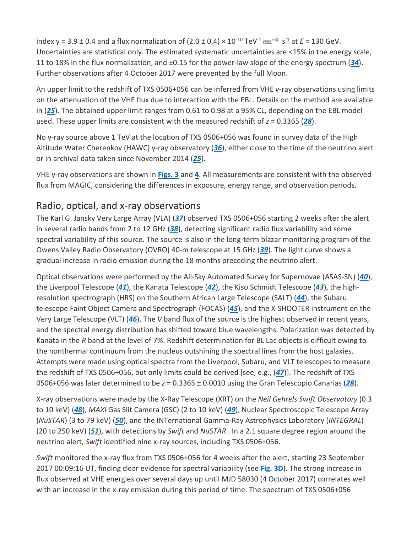index γ = 3.9 ± 0.4 and a flux normalization of  $(2.0 \pm 0.4) \times 10^{-10}$  TeV<sup>-1</sup> cm<sup>-2</sup> s<sup>-1</sup> at *E* = 130 GeV. Uncertainties are statistical only. The estimated systematic uncertainties are <15% in the energy scale, 11 to 18% in the flux normalization, and ±0.15 for the power-law slope of the energy spectrum (*[34](https://science.sciencemag.org/content/361/6398/eaat1378#ref-34)*). Further observations after 4 October 2017 were prevented by the full Moon.

An upper limit to the redshift of TXS 0506+056 can be inferred from VHE γ-ray observations using limits on the attenuation of the VHE flux due to interaction with the EBL. Details on the method are available in (*[25](https://science.sciencemag.org/content/361/6398/eaat1378#ref-25)*). The obtained upper limit ranges from 0.61 to 0.98 at a 95% CL, depending on the EBL model used. These upper limits are consistent with the measured redshift of *z* = 0.3365 (*[28](https://science.sciencemag.org/content/361/6398/eaat1378#ref-28)*).

No γ-ray source above 1 TeV at the location of TXS 0506+056 was found in survey data of the High Altitude Water Cherenkov (HAWC) γ-ray observatory (*[36](https://science.sciencemag.org/content/361/6398/eaat1378#ref-36)*), either close to the time of the neutrino alert or in archival data taken since November 2014 (*[25](https://science.sciencemag.org/content/361/6398/eaat1378#ref-25)*).

VHE γ-ray observations are shown in **[Figs. 3](https://science.sciencemag.org/content/361/6398/eaat1378#F4)** and **[4](https://science.sciencemag.org/content/361/6398/eaat1378#F5)**. All measurements are consistent with the observed flux from MAGIC, considering the differences in exposure, energy range, and observation periods.

# Radio, optical, and x-ray observations

The Karl G. Jansky Very Large Array (VLA) (*[37](https://science.sciencemag.org/content/361/6398/eaat1378#ref-37)*) observed TXS 0506+056 starting 2 weeks after the alert in several radio bands from 2 to 12 GHz (*[38](https://science.sciencemag.org/content/361/6398/eaat1378#ref-38)*), detecting significant radio flux variability and some spectral variability of this source. The source is also in the long-term blazar monitoring program of the Owens Valley Radio Observatory (OVRO) 40-m telescope at 15 GHz (*[39](https://science.sciencemag.org/content/361/6398/eaat1378#ref-39)*). The light curve shows a gradual increase in radio emission during the 18 months preceding the neutrino alert.

Optical observations were performed by the All-Sky Automated Survey for Supernovae (ASAS-SN) (*[40](https://science.sciencemag.org/content/361/6398/eaat1378#ref-40)*), the Liverpool Telescope (*[41](https://science.sciencemag.org/content/361/6398/eaat1378#ref-41)*), the Kanata Telescope (*[42](https://science.sciencemag.org/content/361/6398/eaat1378#ref-42)*), the Kiso Schmidt Telescope (*[43](https://science.sciencemag.org/content/361/6398/eaat1378#ref-43)*), the highresolution spectrograph (HRS) on the Southern African Large Telescope (SALT) (*[44](https://science.sciencemag.org/content/361/6398/eaat1378#ref-44)*), the Subaru telescope Faint Object Camera and Spectrograph (FOCAS) (*[45](https://science.sciencemag.org/content/361/6398/eaat1378#ref-45)*), and the X-SHOOTER instrument on the Very Large Telescope (VLT) (*[46](https://science.sciencemag.org/content/361/6398/eaat1378#ref-46)*). The *V* band flux of the source is the highest observed in recent years, and the spectral energy distribution has shifted toward blue wavelengths. Polarization was detected by Kanata in the *R* band at the level of 7%. Redshift determination for BL Lac objects is difficult owing to the nonthermal continuum from the nucleus outshining the spectral lines from the host galaxies. Attempts were made using optical spectra from the Liverpool, Subaru, and VLT telescopes to measure the redshift of TXS 0506+056, but only limits could be derived [see, e.g., (*[47](https://science.sciencemag.org/content/361/6398/eaat1378#ref-47)*)]. The redshift of TXS 0506+056 was later determined to be *z* = 0.3365 ± 0.0010 using the Gran Telescopio Canarias (*[28](https://science.sciencemag.org/content/361/6398/eaat1378#ref-28)*).

X-ray observations were made by the X-Ray Telescope (XRT) on the *Neil Gehrels Swift Observatory* (0.3 to 10 keV) (*[48](https://science.sciencemag.org/content/361/6398/eaat1378#ref-48)*), *MAXI* Gas Slit Camera (GSC) (2 to 10 keV) (*[49](https://science.sciencemag.org/content/361/6398/eaat1378#ref-49)*), Nuclear Spectroscopic Telescope Array (*NuSTAR*) (3 to 79 keV) (*[50](https://science.sciencemag.org/content/361/6398/eaat1378#ref-50)*), and the INTernational Gamma-Ray Astrophysics Laboratory (*INTEGRAL*) (20 to 250 keV) (*[51](https://science.sciencemag.org/content/361/6398/eaat1378#ref-51)*), with detections by *Swift* and *NuSTAR* . In a 2.1 square degree region around the neutrino alert, *Swift* identified nine x-ray sources, including TXS 0506+056.

*Swift* monitored the x-ray flux from TXS 0506+056 for 4 weeks after the alert, starting 23 September 2017 00:09:16 UT, finding clear evidence for spectral variability (see **[Fig. 3D](https://science.sciencemag.org/content/361/6398/eaat1378#F4)**). The strong increase in flux observed at VHE energies over several days up until MJD 58030 (4 October 2017) correlates well with an increase in the x-ray emission during this period of time. The spectrum of TXS 0506+056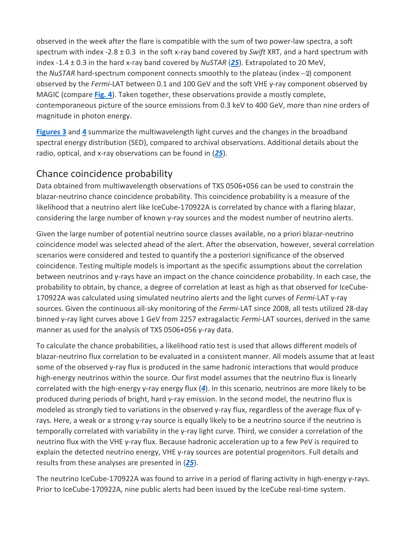observed in the week after the flare is compatible with the sum of two power-law spectra, a soft spectrum with index -2.8 ± 0.3 in the soft x-ray band covered by *Swift* XRT, and a hard spectrum with index -1.4 ± 0.3 in the hard x-ray band covered by *NuSTAR* (*[25](https://science.sciencemag.org/content/361/6398/eaat1378#ref-25)*). Extrapolated to 20 MeV, the *NuSTAR* hard-spectrum component connects smoothly to the plateau (index -2) component observed by the *Fermi*-LAT between 0.1 and 100 GeV and the soft VHE γ-ray component observed by MAGIC (compare **[Fig. 4](https://science.sciencemag.org/content/361/6398/eaat1378#F5)**). Taken together, these observations provide a mostly complete, contemporaneous picture of the source emissions from 0.3 keV to 400 GeV, more than nine orders of magnitude in photon energy.

**[Figures 3](https://science.sciencemag.org/content/361/6398/eaat1378#F4)** and **[4](https://science.sciencemag.org/content/361/6398/eaat1378#F5)** summarize the multiwavelength light curves and the changes in the broadband spectral energy distribution (SED), compared to archival observations. Additional details about the radio, optical, and x-ray observations can be found in (*[25](https://science.sciencemag.org/content/361/6398/eaat1378#ref-25)*).

# Chance coincidence probability

Data obtained from multiwavelength observations of TXS 0506+056 can be used to constrain the blazar-neutrino chance coincidence probability. This coincidence probability is a measure of the likelihood that a neutrino alert like IceCube-170922A is correlated by chance with a flaring blazar, considering the large number of known γ-ray sources and the modest number of neutrino alerts.

Given the large number of potential neutrino source classes available, no a priori blazar-neutrino coincidence model was selected ahead of the alert. After the observation, however, several correlation scenarios were considered and tested to quantify the a posteriori significance of the observed coincidence. Testing multiple models is important as the specific assumptions about the correlation between neutrinos and γ-rays have an impact on the chance coincidence probability. In each case, the probability to obtain, by chance, a degree of correlation at least as high as that observed for IceCube-170922A was calculated using simulated neutrino alerts and the light curves of *Fermi*-LAT γ-ray sources. Given the continuous all-sky monitoring of the *Fermi*-LAT since 2008, all tests utilized 28-day binned γ-ray light curves above 1 GeV from 2257 extragalactic *Fermi*-LAT sources, derived in the same manner as used for the analysis of TXS 0506+056 γ-ray data.

To calculate the chance probabilities, a likelihood ratio test is used that allows different models of blazar-neutrino flux correlation to be evaluated in a consistent manner. All models assume that at least some of the observed γ-ray flux is produced in the same hadronic interactions that would produce high-energy neutrinos within the source. Our first model assumes that the neutrino flux is linearly correlated with the high-energy γ-ray energy flux (*[4](https://science.sciencemag.org/content/361/6398/eaat1378#ref-4)*). In this scenario, neutrinos are more likely to be produced during periods of bright, hard γ-ray emission. In the second model, the neutrino flux is modeled as strongly tied to variations in the observed γ-ray flux, regardless of the average flux of γrays. Here, a weak or a strong γ-ray source is equally likely to be a neutrino source if the neutrino is temporally correlated with variability in the γ-ray light curve. Third, we consider a correlation of the neutrino flux with the VHE γ-ray flux. Because hadronic acceleration up to a few PeV is required to explain the detected neutrino energy, VHE γ-ray sources are potential progenitors. Full details and results from these analyses are presented in (*[25](https://science.sciencemag.org/content/361/6398/eaat1378#ref-25)*).

The neutrino IceCube-170922A was found to arrive in a period of flaring activity in high-energy γ-rays. Prior to IceCube-170922A, nine public alerts had been issued by the IceCube real-time system.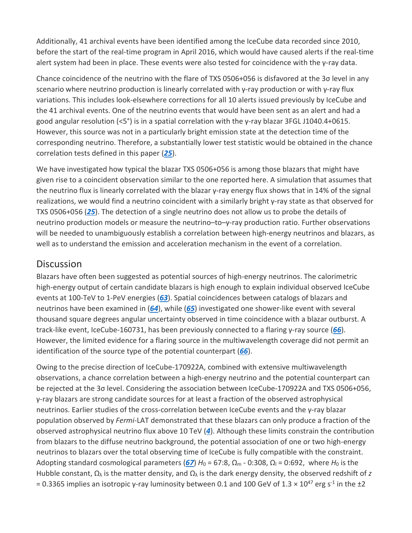Additionally, 41 archival events have been identified among the IceCube data recorded since 2010, before the start of the real-time program in April 2016, which would have caused alerts if the real-time alert system had been in place. These events were also tested for coincidence with the γ-ray data.

Chance coincidence of the neutrino with the flare of TXS 0506+056 is disfavored at the 3σ level in any scenario where neutrino production is linearly correlated with γ-ray production or with γ-ray flux variations. This includes look-elsewhere corrections for all 10 alerts issued previously by IceCube and the 41 archival events. One of the neutrino events that would have been sent as an alert and had a good angular resolution (<5°) is in a spatial correlation with the γ-ray blazar 3FGL J1040.4+0615. However, this source was not in a particularly bright emission state at the detection time of the corresponding neutrino. Therefore, a substantially lower test statistic would be obtained in the chance correlation tests defined in this paper (*[25](https://science.sciencemag.org/content/361/6398/eaat1378#ref-25)*).

We have investigated how typical the blazar TXS 0506+056 is among those blazars that might have given rise to a coincident observation similar to the one reported here. A simulation that assumes that the neutrino flux is linearly correlated with the blazar γ-ray energy flux shows that in 14% of the signal realizations, we would find a neutrino coincident with a similarly bright γ-ray state as that observed for TXS 0506+056 (*[25](https://science.sciencemag.org/content/361/6398/eaat1378#ref-25)*). The detection of a single neutrino does not allow us to probe the details of neutrino production models or measure the neutrino–to–γ-ray production ratio. Further observations will be needed to unambiguously establish a correlation between high-energy neutrinos and blazars, as well as to understand the emission and acceleration mechanism in the event of a correlation.

## **Discussion**

Blazars have often been suggested as potential sources of high-energy neutrinos. The calorimetric high-energy output of certain candidate blazars is high enough to explain individual observed IceCube events at 100-TeV to 1-PeV energies (*[63](https://science.sciencemag.org/content/361/6398/eaat1378#ref-63)*). Spatial coincidences between catalogs of blazars and neutrinos have been examined in (*[64](https://science.sciencemag.org/content/361/6398/eaat1378#ref-64)*), while (*[65](https://science.sciencemag.org/content/361/6398/eaat1378#ref-65)*) investigated one shower-like event with several thousand square degrees angular uncertainty observed in time coincidence with a blazar outburst. A track-like event, IceCube-160731, has been previously connected to a flaring γ-ray source (*[66](https://science.sciencemag.org/content/361/6398/eaat1378#ref-66)*). However, the limited evidence for a flaring source in the multiwavelength coverage did not permit an identification of the source type of the potential counterpart (*[66](https://science.sciencemag.org/content/361/6398/eaat1378#ref-66)*).

Owing to the precise direction of IceCube-170922A, combined with extensive multiwavelength observations, a chance correlation between a high-energy neutrino and the potential counterpart can be rejected at the 3σ level. Considering the association between IceCube-170922A and TXS 0506+056, γ-ray blazars are strong candidate sources for at least a fraction of the observed astrophysical neutrinos. Earlier studies of the cross-correlation between IceCube events and the γ-ray blazar population observed by *Fermi*-LAT demonstrated that these blazars can only produce a fraction of the observed astrophysical neutrino flux above 10 TeV (*[4](https://science.sciencemag.org/content/361/6398/eaat1378#ref-4)*). Although these limits constrain the contribution from blazars to the diffuse neutrino background, the potential association of one or two high-energy neutrinos to blazars over the total observing time of IceCube is fully compatible with the constraint. Adopting standard cosmological parameters ( $67$ )  $H_0$  = 67:8,  $\Omega_m$  - 0:308,  $\Omega_l$  = 0:692, where  $H_0$  is the Hubble constant,  $\Omega_\lambda$  is the matter density, and  $\Omega_\lambda$  is the dark energy density, the observed redshift of *z* = 0.3365 implies an isotropic γ-ray luminosity between 0.1 and 100 GeV of 1.3  $\times$  10<sup>47</sup> erg s<sup>-1</sup> in the ±2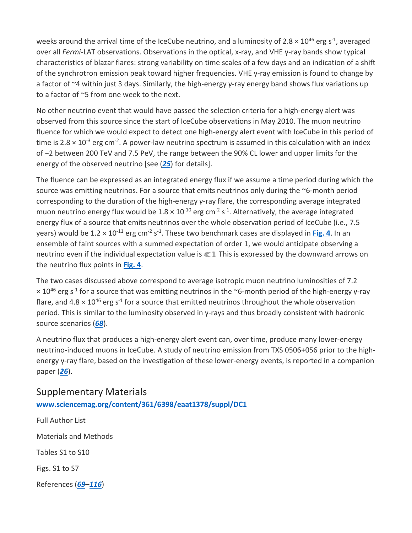weeks around the arrival time of the IceCube neutrino, and a luminosity of 2.8  $\times$  10<sup>46</sup> erg s<sup>-1</sup>, averaged over all *Fermi*-LAT observations. Observations in the optical, x-ray, and VHE γ-ray bands show typical characteristics of blazar flares: strong variability on time scales of a few days and an indication of a shift of the synchrotron emission peak toward higher frequencies. VHE γ-ray emission is found to change by a factor of ~4 within just 3 days. Similarly, the high-energy γ-ray energy band shows flux variations up to a factor of ~5 from one week to the next.

No other neutrino event that would have passed the selection criteria for a high-energy alert was observed from this source since the start of IceCube observations in May 2010. The muon neutrino fluence for which we would expect to detect one high-energy alert event with IceCube in this period of time is  $2.8 \times 10^{-3}$  erg cm<sup>-2</sup>. A power-law neutrino spectrum is assumed in this calculation with an index of −2 between 200 TeV and 7.5 PeV, the range between the 90% CL lower and upper limits for the energy of the observed neutrino [see (*[25](https://science.sciencemag.org/content/361/6398/eaat1378#ref-25)*) for details].

The fluence can be expressed as an integrated energy flux if we assume a time period during which the source was emitting neutrinos. For a source that emits neutrinos only during the ~6-month period corresponding to the duration of the high-energy γ-ray flare, the corresponding average integrated muon neutrino energy flux would be  $1.8 \times 10^{-10}$  erg cm<sup>-2</sup> s<sup>-1</sup>. Alternatively, the average integrated energy flux of a source that emits neutrinos over the whole observation period of IceCube (i.e*.*, 7.5 years) would be  $1.2 \times 10^{-11}$  erg cm<sup>-2</sup> s<sup>-1</sup>. These two benchmark cases are displayed in **[Fig. 4](https://science.sciencemag.org/content/361/6398/eaat1378#F5)**. In an ensemble of faint sources with a summed expectation of order 1, we would anticipate observing a neutrino even if the individual expectation value is  $\ll 1$ . This is expressed by the downward arrows on the neutrino flux points in **[Fig. 4](https://science.sciencemag.org/content/361/6398/eaat1378#F5)**.

The two cases discussed above correspond to average isotropic muon neutrino luminosities of 7.2  $\times$  10<sup>46</sup> erg s<sup>-1</sup> for a source that was emitting neutrinos in the ~6-month period of the high-energy y-ray flare, and  $4.8 \times 10^{46}$  erg s<sup>-1</sup> for a source that emitted neutrinos throughout the whole observation period. This is similar to the luminosity observed in γ-rays and thus broadly consistent with hadronic source scenarios (*[68](https://science.sciencemag.org/content/361/6398/eaat1378#ref-68)*).

A neutrino flux that produces a high-energy alert event can, over time, produce many lower-energy neutrino-induced muons in IceCube. A study of neutrino emission from TXS 0506+056 prior to the highenergy γ-ray flare, based on the investigation of these lower-energy events, is reported in a companion paper (*[26](https://science.sciencemag.org/content/361/6398/eaat1378#ref-26)*).

Supplementary Materials **[www.sciencemag.org/content/361/6398/eaat1378/suppl/DC1](http://www.sciencemag.org/content/361/6398/eaat1378/suppl/DC1)** Full Author List Materials and Methods Tables S1 to S10

Figs. S1 to S7

References (*[69](https://science.sciencemag.org/content/361/6398/eaat1378#ref-69)*–*[116](https://science.sciencemag.org/content/361/6398/eaat1378#ref-116)*)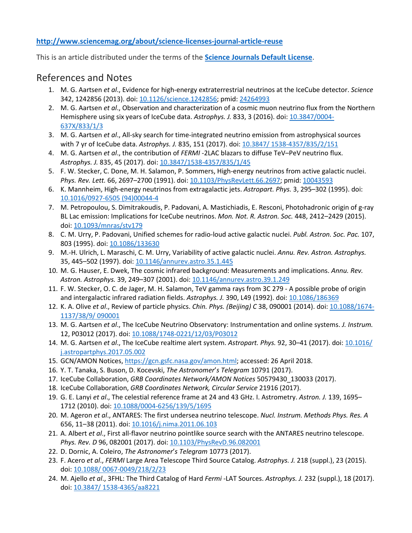#### **<http://www.sciencemag.org/about/science-licenses-journal-article-reuse>**

This is an article distributed under the terms of the **[Science Journals Default License](http://www.sciencemag.org/about/science-licenses-journal-article-reuse)**.

#### References and Notes

- 1. M. G. Aartsen *et al*., Evidence for high-energy extraterrestrial neutrinos at the IceCube detector. *Science*  342, 1242856 (2013). doi: [10.1126/science.1242856;](http://dx.doi.org/10.1126/science.1242856) pmid: [24264993](http://www.ncbi.nlm.nih.gov/pubmed/24264993)
- 2. M. G. Aartsen *et al*., Observation and characterization of a cosmic muon neutrino flux from the Northern Hemisphere using six years of IceCube data. *Astrophys. J.* 833, 3 (2016). doi: [10.3847/0004-](http://dx.doi.org/10.3847/0004-637X/833/1/3) [637X/833/1/3](http://dx.doi.org/10.3847/0004-637X/833/1/3)
- 3. M. G. Aartsen *et al*., All-sky search for time-integrated neutrino emission from astrophysical sources with 7 yr of IceCube data. *Astrophys. J.* 835, 151 (2017). doi: [10.3847/](http://dx.doi.org/10.3847/1538-4357/835/2/151) [1538-4357/835/2/151](http://dx.doi.org/10.3847/1538-4357/835/2/151)
- 4. M. G. Aartsen *et al*., the contribution of *FERMI* -2LAC blazars to diffuse TeV–PeV neutrino flux. *Astrophys. J.* 835, 45 (2017). doi[: 10.3847/1538-4357/835/1/45](http://dx.doi.org/10.3847/1538-4357/835/1/45)
- 5. F. W. Stecker, C. Done, M. H. Salamon, P. Sommers, High-energy neutrinos from active galactic nuclei. *Phys. Rev. Lett.* 66, 2697–2700 (1991). doi[: 10.1103/PhysRevLett.66.2697;](http://dx.doi.org/10.1103/PhysRevLett.66.2697) pmid: [10043593](http://www.ncbi.nlm.nih.gov/pubmed/10043593)
- 6. K. Mannheim, High-energy neutrinos from extragalactic jets. *Astropart. Phys.* 3, 295–302 (1995). doi: [10.1016/0927-6505](http://dx.doi.org/10.1016/0927-6505(94)00044-4) [\(94\)00044-4](http://dx.doi.org/10.1016/0927-6505(94)00044-4)
- 7. M. Petropoulou, S. Dimitrakoudis, P. Padovani, A. Mastichiadis, E. Resconi, Photohadronic origin of g-ray BL Lac emission: Implications for IceCube neutrinos. *Mon. Not. R. Astron. Soc.* 448, 2412–2429 (2015). doi[: 10.1093/mnras/stv179](http://dx.doi.org/10.1093/mnras/stv179)
- 8. C. M. Urry, P. Padovani, Unified schemes for radio-loud active galactic nuclei. *Publ. Astron. Soc. Pac.* 107, 803 (1995). doi: [10.1086/133630](http://dx.doi.org/10.1086/133630)
- 9. M.-H. Ulrich, L. Maraschi, C. M. Urry, Variability of active galactic nuclei. *Annu. Rev. Astron. Astrophys.* 35, 445–502 (1997). doi: [10.1146/annurev.astro.35.1.445](http://dx.doi.org/10.1146/annurev.astro.35.1.445)
- 10. M. G. Hauser, E. Dwek, The cosmic infrared background: Measurements and implications. *Annu. Rev. Astron. Astrophys.* 39, 249–307 (2001). doi: [10.1146/annurev.astro.39.1.249](http://dx.doi.org/10.1146/annurev.astro.39.1.249)
- 11. F. W. Stecker, O. C. de Jager, M. H. Salamon, TeV gamma rays from 3C 279 A possible probe of origin and intergalactic infrared radiation fields. *Astrophys. J.* 390, L49 (1992). doi[: 10.1086/186369](http://dx.doi.org/10.1086/186369)
- 12. K. A. Olive *et al*., Review of particle physics. *Chin. Phys. (Beijing) C* 38, 090001 (2014). doi: [10.1088/1674-](http://dx.doi.org/10.1088/1674-1137/38/9/090001) [1137/38/9/](http://dx.doi.org/10.1088/1674-1137/38/9/090001) [090001](http://dx.doi.org/10.1088/1674-1137/38/9/090001)
- 13. M. G. Aartsen *et al*., The IceCube Neutrino Observatory: Instrumentation and online systems. *J. Instrum.* 12, P03012 (2017). doi: [10.1088/1748-0221/12/03/P03012](http://dx.doi.org/10.1088/1748-0221/12/03/P03012)
- 14. M. G. Aartsen *et al*., The IceCube realtime alert system. *Astropart. Phys.* 92, 30–41 (2017). doi: [10.1016/](http://dx.doi.org/10.1016/j.astropartphys.2017.05.002) [j.astropartphys.2017.05.002](http://dx.doi.org/10.1016/j.astropartphys.2017.05.002)
- 15. GCN/AMON Notices[, https://gcn.gsfc.nasa.gov/amon.html;](https://gcn.gsfc.nasa.gov/amon.html) accessed: 26 April 2018.
- 16. Y. T. Tanaka, S. Buson, D. Kocevski, *The Astronomer*'*s Telegram* 10791 (2017).
- 17. IceCube Collaboration, *GRB Coordinates Network/AMON Notices* 50579430\_130033 (2017).
- 18. IceCube Collaboration, *GRB Coordinates Network, Circular Service* 21916 (2017).
- 19. G. E. Lanyi *et al*., The celestial reference frame at 24 and 43 GHz. I. Astrometry. *Astron. J.* 139, 1695– 1712 (2010). doi[: 10.1088/0004-6256/139/5/1695](http://dx.doi.org/10.1088/0004-6256/139/5/1695)
- 20. M. Ageron *et al*., ANTARES: The first undersea neutrino telescope. *Nucl. Instrum. Methods Phys. Res. A*  656, 11–38 (2011). doi: [10.1016/j.nima.2011.06.103](http://dx.doi.org/10.1016/j.nima.2011.06.103)
- 21. A. Albert *et al*., First all-flavor neutrino pointlike source search with the ANTARES neutrino telescope. Phys. Rev. D 96, 082001 (2017). doi: [10.1103/PhysRevD.96.082001](http://dx.doi.org/10.1103/PhysRevD.96.082001)
- 22. D. Dornic, A. Coleiro, *The Astronomer*'*s Telegram* 10773 (2017).
- 23. F. Acero *et al*., *FERMI* Large Area Telescope Third Source Catalog. *Astrophys. J.* 218 (suppl.), 23 (2015). doi: [10.1088/](http://dx.doi.org/10.1088/0067-0049/218/2/23) [0067-0049/218/2/23](http://dx.doi.org/10.1088/0067-0049/218/2/23)
- 24. M. Ajello *et al*., 3FHL: The Third Catalog of Hard *Fermi* -LAT Sources. *Astrophys. J.* 232 (suppl.), 18 (2017). doi: [10.3847/](http://dx.doi.org/10.3847/1538-4365/aa8221) [1538-4365/aa8221](http://dx.doi.org/10.3847/1538-4365/aa8221)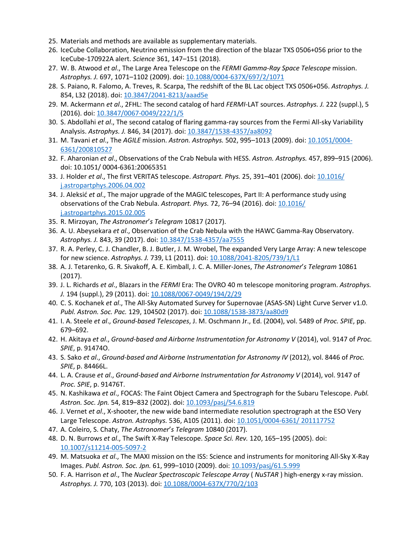- 25. Materials and methods are available as supplementary materials.
- 26. IceCube Collaboration, Neutrino emission from the direction of the blazar TXS 0506+056 prior to the IceCube-170922A alert. *Science* 361, 147–151 (2018).
- 27. W. B. Atwood *et al*., The Large Area Telescope on the *FERMI Gamma-Ray Space Telescope* mission. *Astrophys. J.* 697, 1071–1102 (2009). doi: [10.1088/0004-637X/697/2/1071](http://dx.doi.org/10.1088/0004-637X/697/2/1071)
- 28. S. Paiano, R. Falomo, A. Treves, R. Scarpa, The redshift of the BL Lac object TXS 0506+056. *Astrophys. J.*  854, L32 (2018). doi: [10.3847/2041-8213/aaad5e](http://dx.doi.org/10.3847/2041-8213/aaad5e)
- 29. M. Ackermann *et al*., 2FHL: The second catalog of hard *FERMI*-LAT sources. *Astrophys. J.* 222 (suppl.), 5 (2016). doi: [10.3847/0067-0049/222/1/5](http://dx.doi.org/10.3847/0067-0049/222/1/5)
- 30. S. Abdollahi *et al*., The second catalog of flaring gamma-ray sources from the Fermi All-sky Variability Analysis. *Astrophys. J.* 846, 34 (2017). doi: [10.3847/1538-4357/aa8092](http://dx.doi.org/10.3847/1538-4357/aa8092)
- 31. M. Tavani *et al*., The *AGILE* mission. *Astron. Astrophys.* 502, 995–1013 (2009). doi: [10.1051/0004-](http://dx.doi.org/10.1051/0004-6361/200810527) [6361/200810527](http://dx.doi.org/10.1051/0004-6361/200810527)
- 32. F. Aharonian *et al*., Observations of the Crab Nebula with HESS. *Astron. Astrophys.* 457, 899–915 (2006). doi: 10.1051/ 0004-6361:20065351
- 33. J. Holder *et al*., The first VERITAS telescope. *Astropart. Phys.* 25, 391–401 (2006). doi[: 10.1016/](http://dx.doi.org/10.1016/j.astropartphys.2006.04.002) [j.astropartphys.2006.04.002](http://dx.doi.org/10.1016/j.astropartphys.2006.04.002)
- 34. J. Aleksić *et al*., The major upgrade of the MAGIC telescopes, Part II: A performance study using observations of the Crab Nebula. *Astropart. Phys.* 72, 76–94 (2016). doi: [10.1016/](http://dx.doi.org/10.1016/j.astropartphys.2015.02.005) [j.astropartphys.2015.02.005](http://dx.doi.org/10.1016/j.astropartphys.2015.02.005)
- 35. R. Mirzoyan, *The Astronomer*'*s Telegram* 10817 (2017).
- 36. A. U. Abeysekara *et al*., Observation of the Crab Nebula with the HAWC Gamma-Ray Observatory. *Astrophys. J.* 843, 39 (2017). doi: [10.3847/1538-4357/aa7555](http://dx.doi.org/10.3847/1538-4357/aa7555)
- 37. R. A. Perley, C. J. Chandler, B. J. Butler, J. M. Wrobel, The expanded Very Large Array: A new telescope for new science. *Astrophys. J.* 739, L1 (2011). doi: [10.1088/2041-8205/739/1/L1](http://dx.doi.org/10.1088/2041-8205/739/1/L1)
- 38. A. J. Tetarenko, G. R. Sivakoff, A. E. Kimball, J. C. A. Miller-Jones, *The Astronomer*'*s Telegram* 10861 (2017).
- 39. J. L. Richards *et al*., Blazars in the *FERMI* Era: The OVRO 40 m telescope monitoring program. *Astrophys. J.* 194 (suppl.), 29 (2011). doi: [10.1088/0067-0049/194/2/29](http://dx.doi.org/10.1088/0067-0049/194/2/29)
- 40. C. S. Kochanek *et al*., The All-Sky Automated Survey for Supernovae (ASAS-SN) Light Curve Server v1.0. *Publ. Astron. Soc. Pac.* 129, 104502 (2017). doi: [10.1088/1538-3873/aa80d9](http://dx.doi.org/10.1088/1538-3873/aa80d9)
- 41. I. A. Steele *et al*., *Ground-based Telescopes*, J. M. Oschmann Jr., Ed. (2004), vol. 5489 of *Proc. SPIE*, pp. 679–692.
- 42. H. Akitaya *et al*., *Ground-based and Airborne Instrumentation for Astronomy V* (2014), vol. 9147 of *Proc. SPIE*, p. 91474O.
- 43. S. Sako *et al*., *Ground-based and Airborne Instrumentation for Astronomy IV* (2012), vol. 8446 of *Proc. SPIE*, p. 84466L.
- 44. L. A. Crause *et al*., *Ground-based and Airborne Instrumentation for Astronomy V* (2014), vol. 9147 of *Proc. SPIE*, p. 91476T.
- 45. N. Kashikawa *et al*., FOCAS: The Faint Object Camera and Spectrograph for the Subaru Telescope. *Publ. Astron. Soc. Jpn.* 54, 819–832 (2002). doi: [10.1093/pasj/54.6.819](http://dx.doi.org/10.1093/pasj/54.6.819)
- 46. J. Vernet *et al*., X-shooter, the new wide band intermediate resolution spectrograph at the ESO Very Large Telescope. *Astron. Astrophys.* 536, A105 (2011). doi: [10.1051/0004-6361/](http://dx.doi.org/10.1051/0004-6361/201117752) [201117752](http://dx.doi.org/10.1051/0004-6361/201117752)
- 47. A. Coleiro, S. Chaty, *The Astronomer*'*s Telegram* 10840 (2017).
- 48. D. N. Burrows *et al*., The Swift X-Ray Telescope. *Space Sci. Rev.* 120, 165–195 (2005). doi: [10.1007/s11214-005-5097-2](http://dx.doi.org/10.1007/s11214-005-5097-2)
- 49. M. Matsuoka *et al*., The MAXI mission on the ISS: Science and instruments for monitoring All-Sky X-Ray Images. *Publ. Astron. Soc. Jpn.* 61, 999–1010 (2009). doi: [10.1093/pasj/61.5.999](http://dx.doi.org/10.1093/pasj/61.5.999)
- 50. F. A. Harrison *et al*., The *Nuclear Spectroscopic Telescope Array* ( *NuSTAR* ) high-energy x-ray mission. *Astrophys. J.* 770, 103 (2013). doi: [10.1088/0004-637X/770/2/103](http://dx.doi.org/10.1088/0004-637X/770/2/103)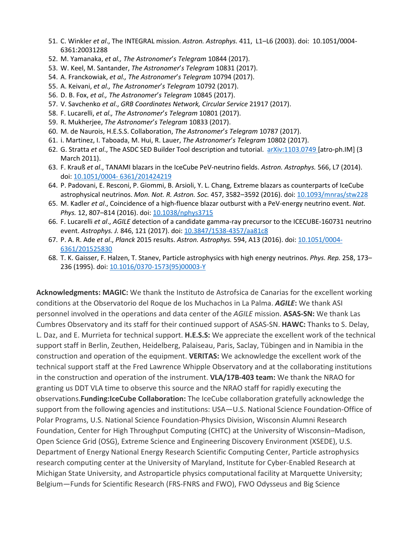- 51. C. Winkler *et al*., The INTEGRAL mission. *Astron. Astrophys.* 411, L1–L6 (2003). doi: 10.1051/0004- 6361:20031288
- 52. M. Yamanaka, *et al., The Astronomer*'*s Telegram* 10844 (2017).
- 53. W. Keel, M. Santander, *The Astronomer*'*s Telegram* 10831 (2017).
- 54. A. Franckowiak, *et al., The Astronomer*'*s Telegram* 10794 (2017).
- 55. A. Keivani, *et al., The Astronomer*'*s Telegram* 10792 (2017).
- 56. D. B. Fox, *et al., The Astronomer*'*s Telegram* 10845 (2017).
- 57. V. Savchenko *et al*., *GRB Coordinates Network, Circular Service* 21917 (2017).
- 58. F. Lucarelli, *et al., The Astronomer*'*s Telegram* 10801 (2017).
- 59. R. Mukherjee, *The Astronomer*'*s Telegram* 10833 (2017).
- 60. M. de Naurois, H.E.S.S. Collaboration, *The Astronomer*'*s Telegram* 10787 (2017).
- 61. i. Martinez, I. Taboada, M. Hui, R. Lauer, *The Astronomer*'*s Telegram* 10802 (2017).
- 62. G. Stratta *et al*., The ASDC SED Builder Tool description and tutorial. [arXiv:1103.0749](https://arxiv.org/abs/1103.0749) [atro-ph.IM] (3 March 2011).
- 63. F. Krauß *et al*., TANAMI blazars in the IceCube PeV-neutrino fields. *Astron. Astrophys.* 566, L7 (2014). doi: [10.1051/0004-](http://dx.doi.org/10.1051/0004-6361/201424219) [6361/201424219](http://dx.doi.org/10.1051/0004-6361/201424219)
- 64. P. Padovani, E. Resconi, P. Giommi, B. Arsioli, Y. L. Chang, Extreme blazars as counterparts of IceCube astrophysical neutrinos. *Mon. Not. R. Astron. Soc.* 457, 3582–3592 (2016). doi: [10.1093/mnras/stw228](http://dx.doi.org/10.1093/mnras/stw228)
- 65. M. Kadler *et al*., Coincidence of a high-fluence blazar outburst with a PeV-energy neutrino event. *Nat. Phys.* 12, 807–814 (2016). doi: [10.1038/nphys3715](http://dx.doi.org/10.1038/nphys3715)
- 66. F. Lucarelli *et al*., *AGILE* detection of a candidate gamma-ray precursor to the ICECUBE-160731 neutrino event. *Astrophys. J.* 846, 121 (2017). doi: [10.3847/1538-4357/aa81c8](http://dx.doi.org/10.3847/1538-4357/aa81c8)
- 67. P. A. R. Ade *et al*., *Planck* 2015 results. *Astron. Astrophys.* 594, A13 (2016). doi: [10.1051/0004-](http://dx.doi.org/10.1051/0004-6361/201525830) [6361/201525830](http://dx.doi.org/10.1051/0004-6361/201525830)
- 68. T. K. Gaisser, F. Halzen, T. Stanev, Particle astrophysics with high energy neutrinos. *Phys. Rep.* 258, 173– 236 (1995). doi: [10.1016/0370-1573\(95\)00003-Y](http://dx.doi.org/10.1016/0370-1573(95)00003-Y)

**Acknowledgments: MAGIC:** We thank the Instituto de Astrofsica de Canarias for the excellent working conditions at the Observatorio del Roque de los Muchachos in La Palma. *AGILE***:** We thank ASI personnel involved in the operations and data center of the *AGILE* mission. **ASAS-SN:** We thank Las Cumbres Observatory and its staff for their continued support of ASAS-SN. **HAWC:** Thanks to S. Delay, L. Daz, and E. Murrieta for technical support. **H.E.S.S:** We appreciate the excellent work of the technical support staff in Berlin, Zeuthen, Heidelberg, Palaiseau, Paris, Saclay, Tübingen and in Namibia in the construction and operation of the equipment. **VERITAS:** We acknowledge the excellent work of the technical support staff at the Fred Lawrence Whipple Observatory and at the collaborating institutions in the construction and operation of the instrument. **VLA/17B-403 team:** We thank the NRAO for granting us DDT VLA time to observe this source and the NRAO staff for rapidly executing the observations.**Funding:IceCube Collaboration:** The IceCube collaboration gratefully acknowledge the support from the following agencies and institutions: USA—U.S. National Science Foundation-Office of Polar Programs, U.S. National Science Foundation-Physics Division, Wisconsin Alumni Research Foundation, Center for High Throughput Computing (CHTC) at the University of Wisconsin–Madison, Open Science Grid (OSG), Extreme Science and Engineering Discovery Environment (XSEDE), U.S. Department of Energy National Energy Research Scientific Computing Center, Particle astrophysics research computing center at the University of Maryland, Institute for Cyber-Enabled Research at Michigan State University, and Astroparticle physics computational facility at Marquette University; Belgium—Funds for Scientific Research (FRS-FNRS and FWO), FWO Odysseus and Big Science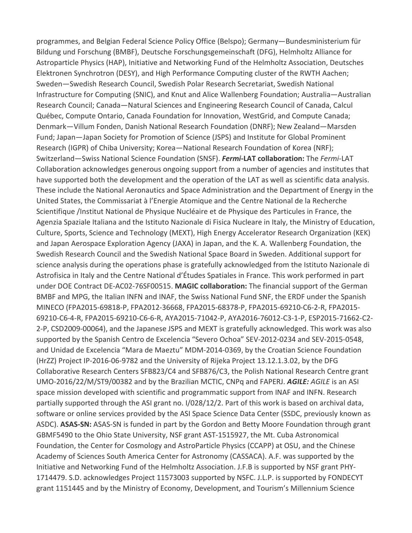programmes, and Belgian Federal Science Policy Office (Belspo); Germany—Bundesministerium für Bildung und Forschung (BMBF), Deutsche Forschungsgemeinschaft (DFG), Helmholtz Alliance for Astroparticle Physics (HAP), Initiative and Networking Fund of the Helmholtz Association, Deutsches Elektronen Synchrotron (DESY), and High Performance Computing cluster of the RWTH Aachen; Sweden—Swedish Research Council, Swedish Polar Research Secretariat, Swedish National Infrastructure for Computing (SNIC), and Knut and Alice Wallenberg Foundation; Australia—Australian Research Council; Canada—Natural Sciences and Engineering Research Council of Canada, Calcul Québec, Compute Ontario, Canada Foundation for Innovation, WestGrid, and Compute Canada; Denmark—Villum Fonden, Danish National Research Foundation (DNRF); New Zealand—Marsden Fund; Japan—Japan Society for Promotion of Science (JSPS) and Institute for Global Prominent Research (IGPR) of Chiba University; Korea—National Research Foundation of Korea (NRF); Switzerland—Swiss National Science Foundation (SNSF). *Fermi***-LAT collaboration:** The *Fermi*-LAT Collaboration acknowledges generous ongoing support from a number of agencies and institutes that have supported both the development and the operation of the LAT as well as scientific data analysis. These include the National Aeronautics and Space Administration and the Department of Energy in the United States, the Commissariat à l'Energie Atomique and the Centre National de la Recherche Scientifique /Institut National de Physique Nucléaire et de Physique des Particules in France, the Agenzia Spaziale Italiana and the Istituto Nazionale di Fisica Nucleare in Italy, the Ministry of Education, Culture, Sports, Science and Technology (MEXT), High Energy Accelerator Research Organization (KEK) and Japan Aerospace Exploration Agency (JAXA) in Japan, and the K. A. Wallenberg Foundation, the Swedish Research Council and the Swedish National Space Board in Sweden. Additional support for science analysis during the operations phase is gratefully acknowledged from the Istituto Nazionale di Astrofisica in Italy and the Centre National d'Études Spatiales in France. This work performed in part under DOE Contract DE-AC02-76SF00515. **MAGIC collaboration:** The financial support of the German BMBF and MPG, the Italian INFN and INAF, the Swiss National Fund SNF, the ERDF under the Spanish MINECO (FPA2015-69818-P, FPA2012-36668, FPA2015-68378-P, FPA2015-69210-C6-2-R, FPA2015- 69210-C6-4-R, FPA2015-69210-C6-6-R, AYA2015-71042-P, AYA2016-76012-C3-1-P, ESP2015-71662-C2- 2-P, CSD2009-00064), and the Japanese JSPS and MEXT is gratefully acknowledged. This work was also supported by the Spanish Centro de Excelencia "Severo Ochoa" SEV-2012-0234 and SEV-2015-0548, and Unidad de Excelencia "Mara de Maeztu" MDM-2014-0369, by the Croatian Science Foundation (HrZZ) Project IP-2016-06-9782 and the University of Rijeka Project 13.12.1.3.02, by the DFG Collaborative Research Centers SFB823/C4 and SFB876/C3, the Polish National Research Centre grant UMO-2016/22/M/ST9/00382 and by the Brazilian MCTIC, CNPq and FAPERJ. *AGILE: AGILE* is an ASI space mission developed with scientific and programmatic support from INAF and INFN. Research partially supported through the ASI grant no. I/028/12/2. Part of this work is based on archival data, software or online services provided by the ASI Space Science Data Center (SSDC, previously known as ASDC). **ASAS-SN:** ASAS-SN is funded in part by the Gordon and Betty Moore Foundation through grant GBMF5490 to the Ohio State University, NSF grant AST-1515927, the Mt. Cuba Astronomical Foundation, the Center for Cosmology and AstroParticle Physics (CCAPP) at OSU, and the Chinese Academy of Sciences South America Center for Astronomy (CASSACA). A.F. was supported by the Initiative and Networking Fund of the Helmholtz Association. J.F.B is supported by NSF grant PHY-1714479. S.D. acknowledges Project 11573003 supported by NSFC. J.L.P. is supported by FONDECYT grant 1151445 and by the Ministry of Economy, Development, and Tourism's Millennium Science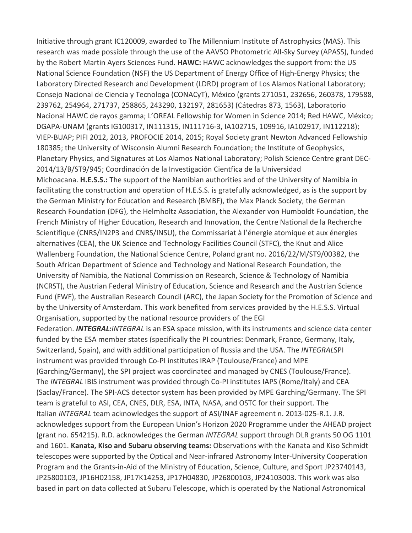Initiative through grant IC120009, awarded to The Millennium Institute of Astrophysics (MAS). This research was made possible through the use of the AAVSO Photometric All-Sky Survey (APASS), funded by the Robert Martin Ayers Sciences Fund. **HAWC:** HAWC acknowledges the support from: the US National Science Foundation (NSF) the US Department of Energy Office of High-Energy Physics; the Laboratory Directed Research and Development (LDRD) program of Los Alamos National Laboratory; Consejo Nacional de Ciencia y Tecnologa (CONACyT), México (grants 271051, 232656, 260378, 179588, 239762, 254964, 271737, 258865, 243290, 132197, 281653) (Cátedras 873, 1563), Laboratorio Nacional HAWC de rayos gamma; L'OREAL Fellowship for Women in Science 2014; Red HAWC, México; DGAPA-UNAM (grants IG100317, IN111315, IN111716-3, IA102715, 109916, IA102917, IN112218); VIEP-BUAP; PIFI 2012, 2013, PROFOCIE 2014, 2015; Royal Society grant Newton Advanced Fellowship 180385; the University of Wisconsin Alumni Research Foundation; the Institute of Geophysics, Planetary Physics, and Signatures at Los Alamos National Laboratory; Polish Science Centre grant DEC-2014/13/B/ST9/945; Coordinación de la Investigación Cientfica de la Universidad Michoacana. **H.E.S.S.:** The support of the Namibian authorities and of the University of Namibia in facilitating the construction and operation of H.E.S.S. is gratefully acknowledged, as is the support by the German Ministry for Education and Research (BMBF), the Max Planck Society, the German Research Foundation (DFG), the Helmholtz Association, the Alexander von Humboldt Foundation, the French Ministry of Higher Education, Research and Innovation, the Centre National de la Recherche Scientifique (CNRS/IN2P3 and CNRS/INSU), the Commissariat à l'énergie atomique et aux énergies alternatives (CEA), the UK Science and Technology Facilities Council (STFC), the Knut and Alice Wallenberg Foundation, the National Science Centre, Poland grant no. 2016/22/M/ST9/00382, the South African Department of Science and Technology and National Research Foundation, the University of Namibia, the National Commission on Research, Science & Technology of Namibia (NCRST), the Austrian Federal Ministry of Education, Science and Research and the Austrian Science Fund (FWF), the Australian Research Council (ARC), the Japan Society for the Promotion of Science and by the University of Amsterdam. This work benefited from services provided by the H.E.S.S. Virtual Organisation, supported by the national resource providers of the EGI Federation. *INTEGRAL:INTEGRAL* is an ESA space mission, with its instruments and science data center funded by the ESA member states (specifically the PI countries: Denmark, France, Germany, Italy, Switzerland, Spain), and with additional participation of Russia and the USA. The *INTEGRAL*SPI instrument was provided through Co-PI institutes IRAP (Toulouse/France) and MPE (Garching/Germany), the SPI project was coordinated and managed by CNES (Toulouse/France). The *INTEGRAL* IBIS instrument was provided through Co-PI institutes IAPS (Rome/Italy) and CEA (Saclay/France). The SPI-ACS detector system has been provided by MPE Garching/Germany. The SPI team is grateful to ASI, CEA, CNES, DLR, ESA, INTA, NASA, and OSTC for their support. The Italian *INTEGRAL* team acknowledges the support of ASI/INAF agreement n. 2013-025-R.1. J.R. acknowledges support from the European Union's Horizon 2020 Programme under the AHEAD project (grant no. 654215). R.D. acknowledges the German *INTEGRAL* support through DLR grants 50 OG 1101 and 1601. **Kanata, Kiso and Subaru observing teams:** Observations with the Kanata and Kiso Schmidt telescopes were supported by the Optical and Near-infrared Astronomy Inter-University Cooperation Program and the Grants-in-Aid of the Ministry of Education, Science, Culture, and Sport JP23740143, JP25800103, JP16H02158, JP17K14253, JP17H04830, JP26800103, JP24103003. This work was also based in part on data collected at Subaru Telescope, which is operated by the National Astronomical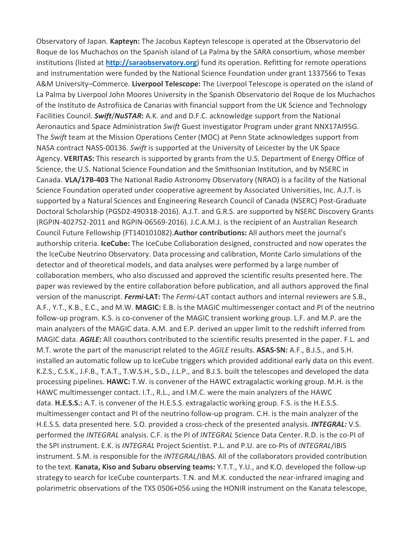Observatory of Japan. **Kapteyn:** The Jacobus Kapteyn telescope is operated at the Observatorio del Roque de los Muchachos on the Spanish island of La Palma by the SARA consortium, whose member institutions (listed at **[http://saraobservatory.org](http://saraobservatory.org/)**) fund its operation. Refitting for remote operations and instrumentation were funded by the National Science Foundation under grant 1337566 to Texas A&M University–Commerce. **Liverpool Telescope:** The Liverpool Telescope is operated on the island of La Palma by Liverpool John Moores University in the Spanish Observatorio del Roque de los Muchachos of the Instituto de Astrofisica de Canarias with financial support from the UK Science and Technology Facilities Council. *Swift*/*NuSTAR***:** A.K. and and D.F.C. acknowledge support from the National Aeronautics and Space Administration *Swift* Guest Investigator Program under grant NNX17AI95G. The *Swift* team at the Mission Operations Center (MOC) at Penn State acknowledges support from NASA contract NAS5-00136. *Swift* is supported at the University of Leicester by the UK Space Agency. **VERITAS:** This research is supported by grants from the U.S. Department of Energy Office of Science, the U.S. National Science Foundation and the Smithsonian Institution, and by NSERC in Canada. **VLA/17B-403** The National Radio Astronomy Observatory (NRAO) is a facility of the National Science Foundation operated under cooperative agreement by Associated Universities, Inc. A.J.T. is supported by a Natural Sciences and Engineering Research Council of Canada (NSERC) Post-Graduate Doctoral Scholarship (PGSD2-490318-2016). A.J.T. and G.R.S. are supported by NSERC Discovery Grants (RGPIN-402752-2011 and RGPIN-06569-2016). J.C.A.M.J. is the recipient of an Australian Research Council Future Fellowship (FT140101082).**Author contributions:** All authors meet the journal's authorship criteria. **IceCube:** The IceCube Collaboration designed, constructed and now operates the the IceCube Neutrino Observatory. Data processing and calibration, Monte Carlo simulations of the detector and of theoretical models, and data analyses were performed by a large number of collaboration members, who also discussed and approved the scientific results presented here. The paper was reviewed by the entire collaboration before publication, and all authors approved the final version of the manuscript. *Fermi***-LAT:** The *Fermi*-LAT contact authors and internal reviewers are S.B., A.F., Y.T., K.B., E.C., and M.W. **MAGIC:** E.B. is the MAGIC multimessenger contact and PI of the neutrino follow-up program. K.S. is co-convener of the MAGIC transient working group. L.F. and M.P. are the main analyzers of the MAGIC data. A.M. and E.P. derived an upper limit to the redshift inferred from MAGIC data. *AGILE***:** All coauthors contributed to the scientific results presented in the paper. F.L. and M.T. wrote the part of the manuscript related to the *AGILE* results. **ASAS-SN:** A.F., B.J.S., and S.H. installed an automatic follow up to IceCube triggers which provided additional early data on this event. K.Z.S., C.S.K., J.F.B., T.A.T., T.W.S.H., S.D., J.L.P., and B.J.S. built the telescopes and developed the data processing pipelines. **HAWC:** T.W. is convener of the HAWC extragalactic working group. M.H. is the HAWC multimessenger contact. I.T., R.L., and I.M.C. were the main analyzers of the HAWC data. **H.E.S.S.:** A.T. is convener of the H.E.S.S. extragalactic working group. F.S. is the H.E.S.S. multimessenger contact and PI of the neutrino follow-up program. C.H. is the main analyzer of the H.E.S.S. data presented here. S.O. provided a cross-check of the presented analysis. *INTEGRAL:* V.S. performed the *INTEGRAL* analysis. C.F. is the PI of *INTEGRAL* Science Data Center. R.D. is the co-PI of the SPI instrument. E.K. is *INTEGRAL* Project Scientist. P.L. and P.U. are co-PIs of *INTEGRAL*/IBIS instrument. S.M. is responsible for the *INTEGRAL*/IBAS. All of the collaborators provided contribution to the text. **Kanata, Kiso and Subaru observing teams:** Y.T.T., Y.U., and K.O. developed the follow-up strategy to search for IceCube counterparts. T.N. and M.K. conducted the near-infrared imaging and polarimetric observations of the TXS 0506+056 using the HONIR instrument on the Kanata telescope,